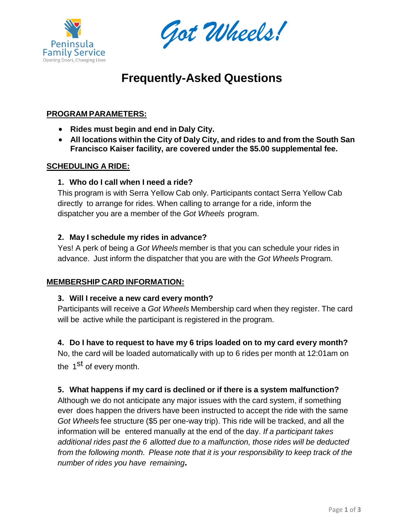



# **Frequently-Asked Questions**

# **PROGRAM PARAMETERS:**

- **Rides must begin and end in Daly City.**
- **All locations within the City of Daly City, and rides to and from the South San Francisco Kaiser facility, are covered under the \$5.00 supplemental fee.**

#### **SCHEDULING A RIDE:**

#### **1. Who do I call when I need a ride?**

This program is with Serra Yellow Cab only. Participants contact Serra Yellow Cab directly to arrange for rides. When calling to arrange for a ride, inform the dispatcher you are a member of the *Got Wheels* program.

#### **2. May I schedule my rides in advance?**

Yes! A perk of being a *Got Wheels* member is that you can schedule your rides in advance. Just inform the dispatcher that you are with the *Got Wheels* Program.

#### **MEMBERSHIP CARD INFORMATION:**

#### **3. Will I receive a new card every month?**

Participants will receive a *Got Wheels* Membership card when they register. The card will be active while the participant is registered in the program.

#### **4. Do I have to request to have my 6 trips loaded on to my card every month?**

No, the card will be loaded automatically with up to 6 rides per month at 12:01am on the 1<sup>st</sup> of every month.

#### **5. What happens if my card is declined or if there is a system malfunction?**

Although we do not anticipate any major issues with the card system, if something ever does happen the drivers have been instructed to accept the ride with the same *Got Wheels* fee structure (\$5 per one-way trip). This ride will be tracked, and all the information will be entered manually at the end of the day. *If a participant takes additional rides past the 6 allotted due to a malfunction, those rides will be deducted from the following month. Please note that it is your responsibility to keep track of the number of rides you have remaining.*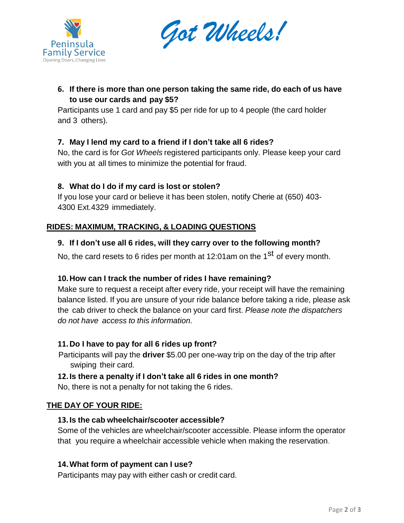



# **6. If there is more than one person taking the same ride, do each of us have to use our cards and pay \$5?**

Participants use 1 card and pay \$5 per ride for up to 4 people (the card holder and 3 others).

## **7. May I lend my card to a friend if I don't take all 6 rides?**

No, the card is for *Got Wheels* registered participants only. Please keep your card with you at all times to minimize the potential for fraud.

#### **8. What do I do if my card is lost or stolen?**

If you lose your card or believe it has been stolen, notify Cherie at (650) 403- 4300 Ext.4329 immediately.

## **RIDES: MAXIMUM, TRACKING, & LOADING QUESTIONS**

## **9. If I don't use all 6 rides, will they carry over to the following month?**

No, the card resets to 6 rides per month at 12:01am on the 1<sup>st</sup> of every month.

#### **10.How can I track the number of rides I have remaining?**

Make sure to request a receipt after every ride, your receipt will have the remaining balance listed. If you are unsure of your ride balance before taking a ride, please ask the cab driver to check the balance on your card first. *Please note the dispatchers do not have access to this information.*

#### **11.Do I have to pay for all 6 rides up front?**

Participants will pay the **driver** \$5.00 per one-way trip on the day of the trip after swiping their card.

#### **12.Is there a penalty if I don't take all 6 rides in one month?**

No, there is not a penalty for not taking the 6 rides.

#### **THE DAY OF YOUR RIDE:**

#### **13.Is the cab wheelchair/scooter accessible?**

Some of the vehicles are wheelchair/scooter accessible. Please inform the operator that you require a wheelchair accessible vehicle when making the reservation.

#### **14.What form of payment can I use?**

Participants may pay with either cash or credit card.